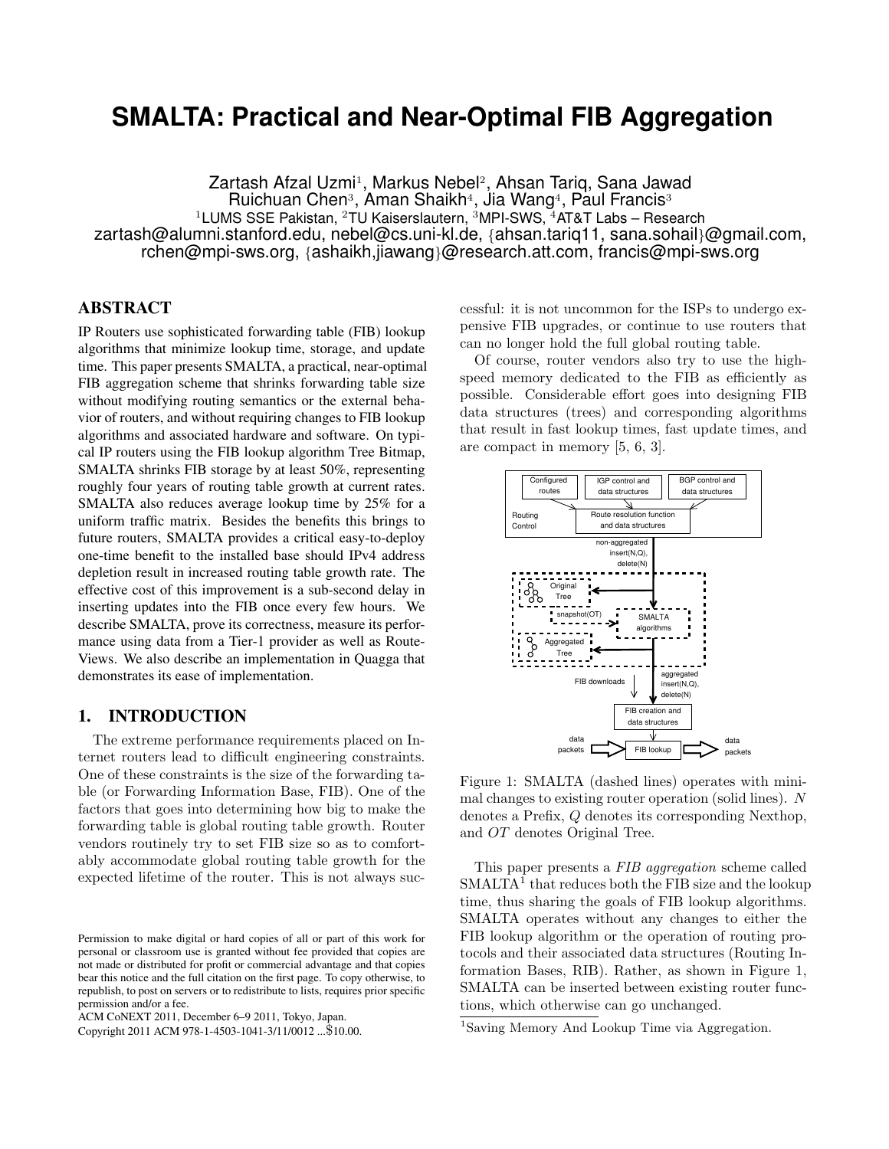# **SMALTA: Practical and Near-Optimal FIB Aggregation**

Zartash Afzal Uzmi<sup>1</sup>, Markus Nebel<sup>2</sup>, Ahsan Tariq, Sana Jawad Ruichuan Chen<sup>3</sup>, Aman Shaikh<sup>4</sup>, Jia Wang<sup>4</sup>, Paul Francis<sup>3</sup> <sup>1</sup>LUMS SSE Pakistan, <sup>2</sup>TU Kaiserslautern, <sup>3</sup>MPI-SWS, <sup>4</sup>AT&T Labs – Research zartash@alumni.stanford.edu, nebel@cs.uni-kl.de, {ahsan.tariq11, sana.sohail}@gmail.com, rchen@mpi-sws.org, {ashaikh,jiawang}@research.att.com, francis@mpi-sws.org

# **ABSTRACT**

IP Routers use sophisticated forwarding table (FIB) lookup algorithms that minimize lookup time, storage, and update time. This paper presents SMALTA, a practical, near-optimal FIB aggregation scheme that shrinks forwarding table size without modifying routing semantics or the external behavior of routers, and without requiring changes to FIB lookup algorithms and associated hardware and software. On typical IP routers using the FIB lookup algorithm Tree Bitmap, SMALTA shrinks FIB storage by at least 50%, representing roughly four years of routing table growth at current rates. SMALTA also reduces average lookup time by 25% for a uniform traffic matrix. Besides the benefits this brings to future routers, SMALTA provides a critical easy-to-deploy one-time benefit to the installed base should IPv4 address depletion result in increased routing table growth rate. The effective cost of this improvement is a sub-second delay in inserting updates into the FIB once every few hours. We describe SMALTA, prove its correctness, measure its performance using data from a Tier-1 provider as well as Route-Views. We also describe an implementation in Quagga that demonstrates its ease of implementation.

# **1. INTRODUCTION**

The extreme performance requirements placed on Internet routers lead to difficult engineering constraints. One of these constraints is the size of the forwarding table (or Forwarding Information Base, FIB). One of the factors that goes into determining how big to make the forwarding table is global routing table growth. Router vendors routinely try to set FIB size so as to comfortably accommodate global routing table growth for the expected lifetime of the router. This is not always successful: it is not uncommon for the ISPs to undergo expensive FIB upgrades, or continue to use routers that can no longer hold the full global routing table.

Of course, router vendors also try to use the highspeed memory dedicated to the FIB as efficiently as possible. Considerable effort goes into designing FIB data structures (trees) and corresponding algorithms that result in fast lookup times, fast update times, and are compact in memory [5, 6, 3].



Figure 1: SMALTA (dashed lines) operates with minimal changes to existing router operation (solid lines). N denotes a Prefix, Q denotes its corresponding Nexthop, and OT denotes Original Tree.

This paper presents a FIB aggregation scheme called SMALTA<sup>1</sup> that reduces both the FIB size and the lookup time, thus sharing the goals of FIB lookup algorithms. SMALTA operates without any changes to either the FIB lookup algorithm or the operation of routing protocols and their associated data structures (Routing Information Bases, RIB). Rather, as shown in Figure 1, SMALTA can be inserted between existing router functions, which otherwise can go unchanged.

Permission to make digital or hard copies of all or part of this work for personal or classroom use is granted without fee provided that copies are not made or distributed for profit or commercial advantage and that copies bear this notice and the full citation on the first page. To copy otherwise, to republish, to post on servers or to redistribute to lists, requires prior specific permission and/or a fee.

ACM CoNEXT 2011, December 6–9 2011, Tokyo, Japan.

Copyright 2011 ACM 978-1-4503-1041-3/11/0012 ...\$10.00.

<sup>1</sup>Saving Memory And Lookup Time via Aggregation.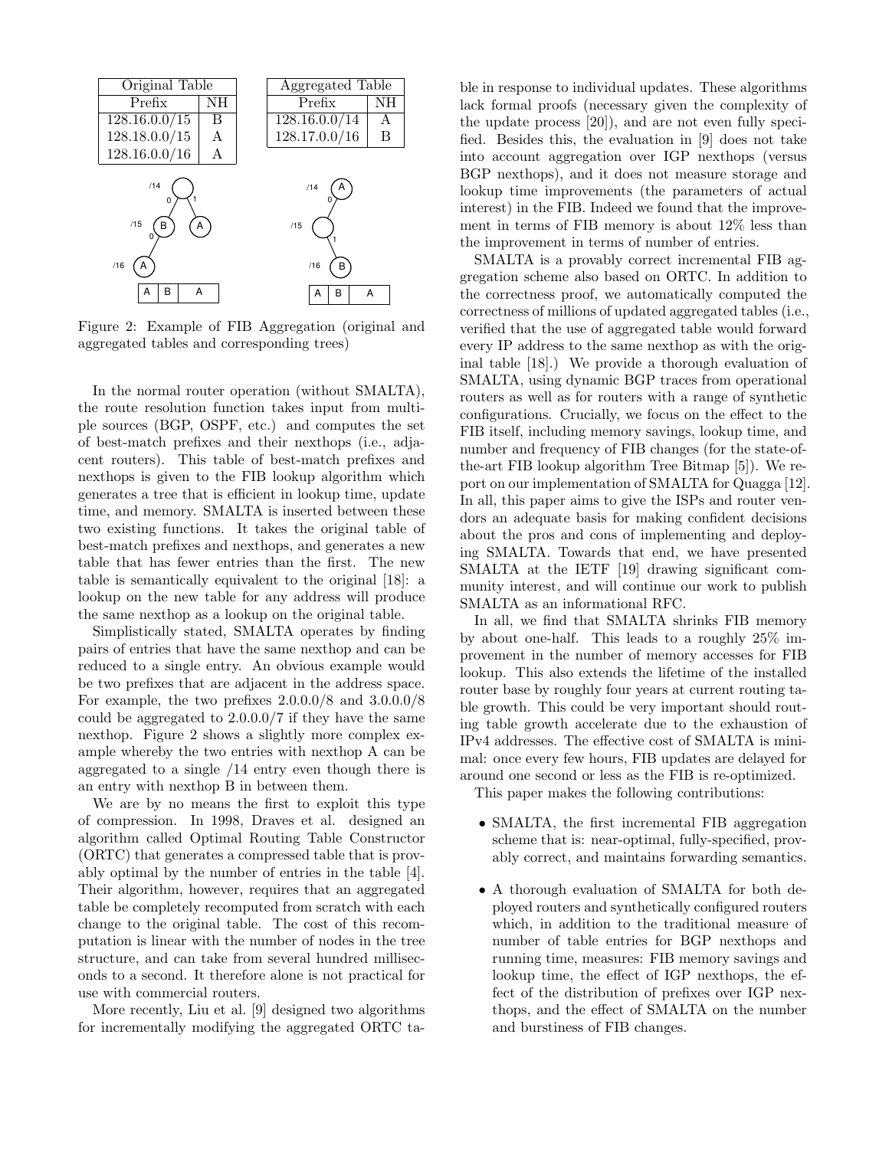

Figure 2: Example of FIB Aggregation (original and aggregated tables and corresponding trees)

In the normal router operation (without SMALTA), the route resolution function takes input from multiple sources (BGP, OSPF, etc.) and computes the set of best-match prefixes and their nexthops (i.e., adjacent routers). This table of best-match prefixes and nexthops is given to the FIB lookup algorithm which generates a tree that is efficient in lookup time, update time, and memory. SMALTA is inserted between these two existing functions. It takes the original table of best-match prefixes and nexthops, and generates a new table that has fewer entries than the first. The new table is semantically equivalent to the original [18]: a lookup on the new table for any address will produce the same nexthop as a lookup on the original table.

Simplistically stated, SMALTA operates by finding pairs of entries that have the same nexthop and can be reduced to a single entry. An obvious example would be two prefixes that are adjacent in the address space. For example, the two prefixes 2.0.0.0/8 and 3.0.0.0/8 could be aggregated to 2.0.0.0/7 if they have the same nexthop. Figure 2 shows a slightly more complex example whereby the two entries with nexthop A can be aggregated to a single /14 entry even though there is an entry with nexthop B in between them.

We are by no means the first to exploit this type of compression. In 1998, Draves et al. designed an algorithm called Optimal Routing Table Constructor (ORTC) that generates a compressed table that is provably optimal by the number of entries in the table [4]. Their algorithm, however, requires that an aggregated table be completely recomputed from scratch with each change to the original table. The cost of this recomputation is linear with the number of nodes in the tree structure, and can take from several hundred milliseconds to a second. It therefore alone is not practical for use with commercial routers.

More recently, Liu et al. [9] designed two algorithms for incrementally modifying the aggregated ORTC table in response to individual updates. These algorithms lack formal proofs (necessary given the complexity of the update process [20]), and are not even fully specified. Besides this, the evaluation in [9] does not take into account aggregation over IGP nexthops (versus BGP nexthops), and it does not measure storage and lookup time improvements (the parameters of actual interest) in the FIB. Indeed we found that the improvement in terms of FIB memory is about 12% less than the improvement in terms of number of entries.

SMALTA is a provably correct incremental FIB aggregation scheme also based on ORTC. In addition to the correctness proof, we automatically computed the correctness of millions of updated aggregated tables (i.e., verified that the use of aggregated table would forward every IP address to the same nexthop as with the original table [18].) We provide a thorough evaluation of SMALTA, using dynamic BGP traces from operational routers as well as for routers with a range of synthetic configurations. Crucially, we focus on the effect to the FIB itself, including memory savings, lookup time, and number and frequency of FIB changes (for the state-ofthe-art FIB lookup algorithm Tree Bitmap [5]). We report on our implementation of SMALTA for Quagga [12]. In all, this paper aims to give the ISPs and router vendors an adequate basis for making confident decisions about the pros and cons of implementing and deploying SMALTA. Towards that end, we have presented SMALTA at the IETF [19] drawing significant community interest, and will continue our work to publish SMALTA as an informational RFC.

In all, we find that SMALTA shrinks FIB memory by about one-half. This leads to a roughly 25% improvement in the number of memory accesses for FIB lookup. This also extends the lifetime of the installed router base by roughly four years at current routing table growth. This could be very important should routing table growth accelerate due to the exhaustion of IPv4 addresses. The effective cost of SMALTA is minimal: once every few hours, FIB updates are delayed for around one second or less as the FIB is re-optimized.

This paper makes the following contributions:

- SMALTA, the first incremental FIB aggregation scheme that is: near-optimal, fully-specified, provably correct, and maintains forwarding semantics.
- A thorough evaluation of SMALTA for both deployed routers and synthetically configured routers which, in addition to the traditional measure of number of table entries for BGP nexthops and running time, measures: FIB memory savings and lookup time, the effect of IGP nexthops, the effect of the distribution of prefixes over IGP nexthops, and the effect of SMALTA on the number and burstiness of FIB changes.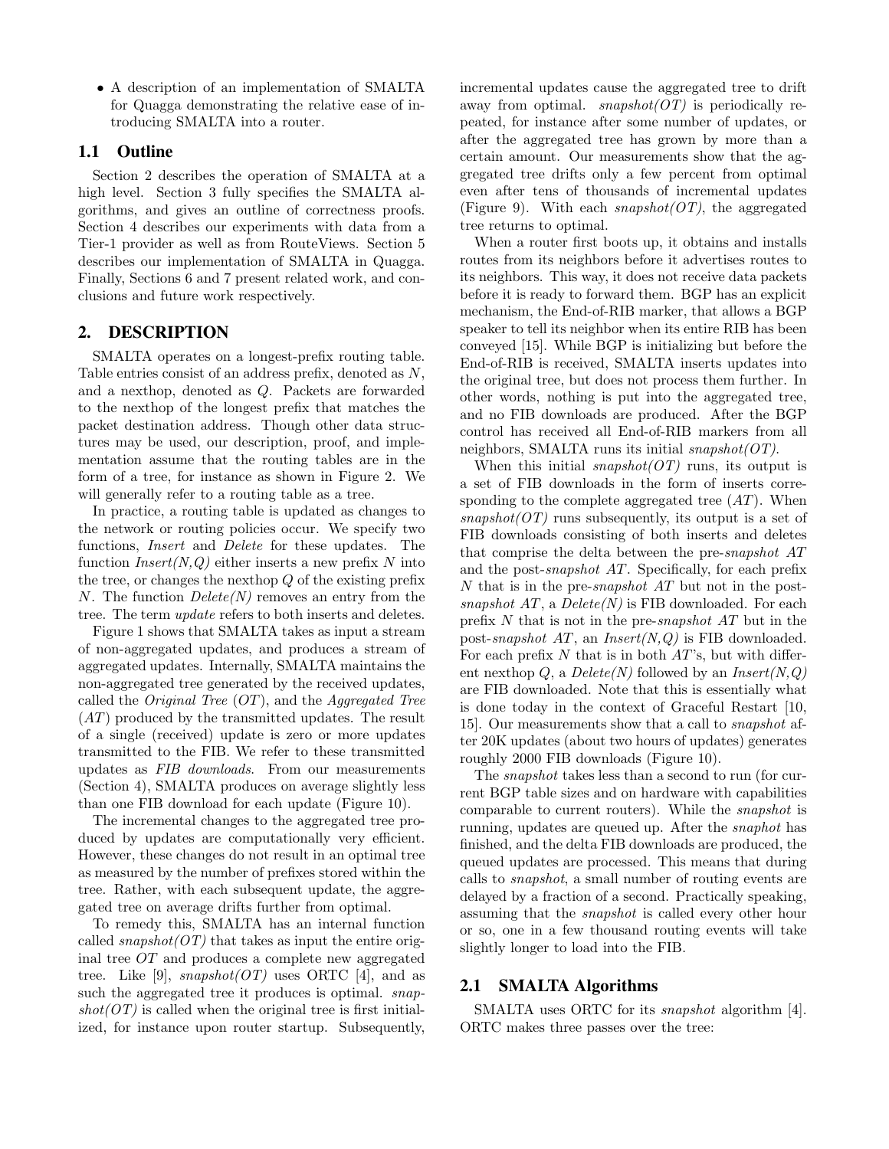• A description of an implementation of SMALTA for Quagga demonstrating the relative ease of introducing SMALTA into a router.

## **1.1 Outline**

Section 2 describes the operation of SMALTA at a high level. Section 3 fully specifies the SMALTA algorithms, and gives an outline of correctness proofs. Section 4 describes our experiments with data from a Tier-1 provider as well as from RouteViews. Section 5 describes our implementation of SMALTA in Quagga. Finally, Sections 6 and 7 present related work, and conclusions and future work respectively.

## **2. DESCRIPTION**

SMALTA operates on a longest-prefix routing table. Table entries consist of an address prefix, denoted as N, and a nexthop, denoted as Q. Packets are forwarded to the nexthop of the longest prefix that matches the packet destination address. Though other data structures may be used, our description, proof, and implementation assume that the routing tables are in the form of a tree, for instance as shown in Figure 2. We will generally refer to a routing table as a tree.

In practice, a routing table is updated as changes to the network or routing policies occur. We specify two functions, Insert and Delete for these updates. The function  $Insert(N,Q)$  either inserts a new prefix N into the tree, or changes the nexthop Q of the existing prefix N. The function  $Delete(N)$  removes an entry from the tree. The term update refers to both inserts and deletes.

Figure 1 shows that SMALTA takes as input a stream of non-aggregated updates, and produces a stream of aggregated updates. Internally, SMALTA maintains the non-aggregated tree generated by the received updates, called the *Original Tree*  $(OT)$ , and the *Aggregated Tree* (AT) produced by the transmitted updates. The result of a single (received) update is zero or more updates transmitted to the FIB. We refer to these transmitted updates as FIB downloads. From our measurements (Section 4), SMALTA produces on average slightly less than one FIB download for each update (Figure 10).

The incremental changes to the aggregated tree produced by updates are computationally very efficient. However, these changes do not result in an optimal tree as measured by the number of prefixes stored within the tree. Rather, with each subsequent update, the aggregated tree on average drifts further from optimal.

To remedy this, SMALTA has an internal function called  $s$ napshot $(OT)$  that takes as input the entire original tree OT and produces a complete new aggregated tree. Like [9],  $snapshot(OT)$  uses ORTC [4], and as such the aggregated tree it produces is optimal. *snap* $shot(OT)$  is called when the original tree is first initialized, for instance upon router startup. Subsequently, incremental updates cause the aggregated tree to drift away from optimal. *snapshot*( $OT$ ) is periodically repeated, for instance after some number of updates, or after the aggregated tree has grown by more than a certain amount. Our measurements show that the aggregated tree drifts only a few percent from optimal even after tens of thousands of incremental updates (Figure 9). With each  $snapshot(OT)$ , the aggregated tree returns to optimal.

When a router first boots up, it obtains and installs routes from its neighbors before it advertises routes to its neighbors. This way, it does not receive data packets before it is ready to forward them. BGP has an explicit mechanism, the End-of-RIB marker, that allows a BGP speaker to tell its neighbor when its entire RIB has been conveyed [15]. While BGP is initializing but before the End-of-RIB is received, SMALTA inserts updates into the original tree, but does not process them further. In other words, nothing is put into the aggregated tree, and no FIB downloads are produced. After the BGP control has received all End-of-RIB markers from all neighbors, SMALTA runs its initial  $s$ napshot $(OT)$ .

When this initial *snapshot*( $OT$ ) runs, its output is a set of FIB downloads in the form of inserts corresponding to the complete aggregated tree  $(AT)$ . When  $snapshot(OT)$  runs subsequently, its output is a set of FIB downloads consisting of both inserts and deletes that comprise the delta between the pre-snapshot AT and the post-snapshot AT. Specifically, for each prefix N that is in the pre-*snapshot AT* but not in the postsnapshot  $AT$ , a  $Delete(N)$  is FIB downloaded. For each prefix N that is not in the pre-snapshot AT but in the post-snapshot  $AT$ , an Insert $(N, Q)$  is FIB downloaded. For each prefix  $N$  that is in both  $AT$ 's, but with different nexthop Q, a  $Delete(N)$  followed by an  $Insert(N,Q)$ are FIB downloaded. Note that this is essentially what is done today in the context of Graceful Restart [10, 15]. Our measurements show that a call to snapshot after 20K updates (about two hours of updates) generates roughly 2000 FIB downloads (Figure 10).

The *snapshot* takes less than a second to run (for current BGP table sizes and on hardware with capabilities comparable to current routers). While the snapshot is running, updates are queued up. After the snaphot has finished, and the delta FIB downloads are produced, the queued updates are processed. This means that during calls to snapshot, a small number of routing events are delayed by a fraction of a second. Practically speaking, assuming that the snapshot is called every other hour or so, one in a few thousand routing events will take slightly longer to load into the FIB.

#### **2.1 SMALTA Algorithms**

SMALTA uses ORTC for its *snapshot* algorithm [4]. ORTC makes three passes over the tree: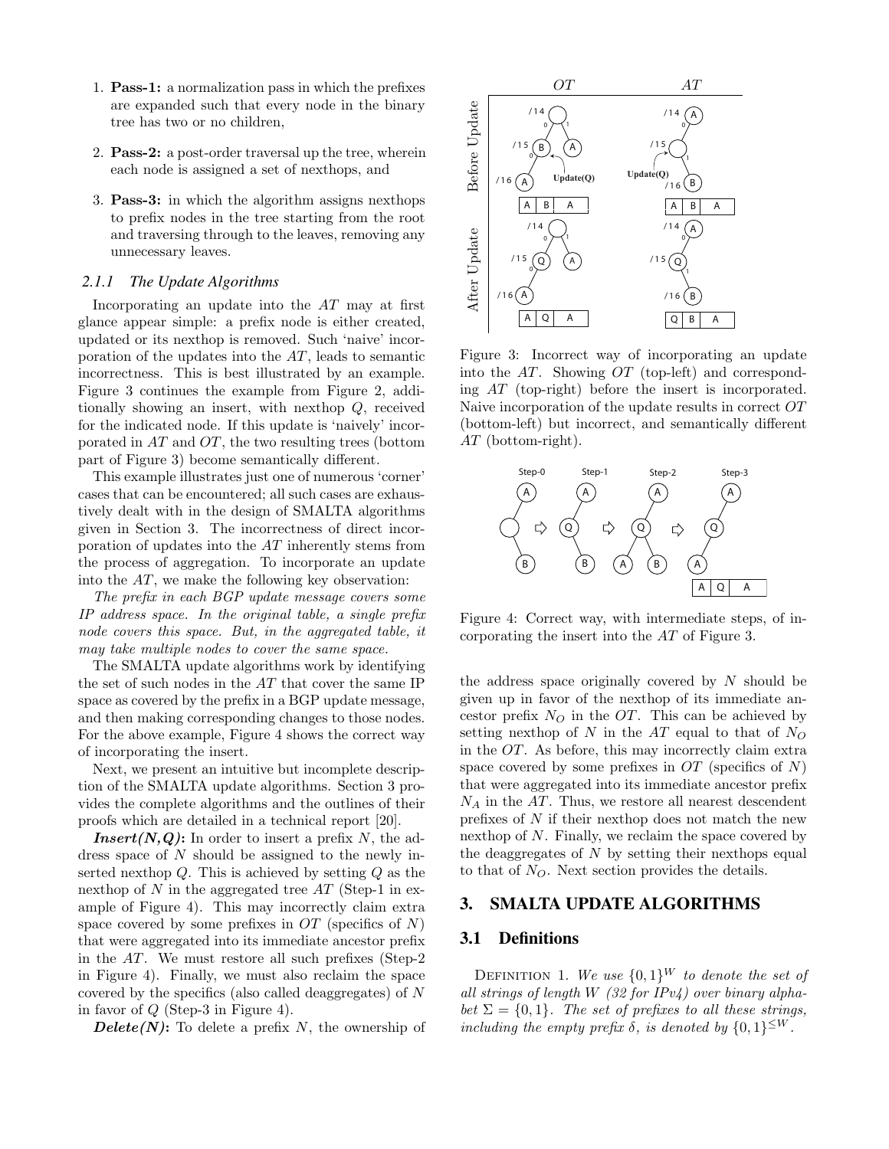- 1. Pass-1: a normalization pass in which the prefixes are expanded such that every node in the binary tree has two or no children,
- 2. Pass-2: a post-order traversal up the tree, wherein each node is assigned a set of nexthops, and
- 3. Pass-3: in which the algorithm assigns nexthops to prefix nodes in the tree starting from the root and traversing through to the leaves, removing any unnecessary leaves.

#### *2.1.1 The Update Algorithms*

Incorporating an update into the AT may at first glance appear simple: a prefix node is either created, updated or its nexthop is removed. Such 'naive' incorporation of the updates into the AT, leads to semantic incorrectness. This is best illustrated by an example. Figure 3 continues the example from Figure 2, additionally showing an insert, with nexthop Q, received for the indicated node. If this update is 'naively' incorporated in AT and OT, the two resulting trees (bottom part of Figure 3) become semantically different.

This example illustrates just one of numerous 'corner' cases that can be encountered; all such cases are exhaustively dealt with in the design of SMALTA algorithms given in Section 3. The incorrectness of direct incorporation of updates into the AT inherently stems from the process of aggregation. To incorporate an update into the  $AT$ , we make the following key observation:

The prefix in each BGP update message covers some IP address space. In the original table, a single prefix node covers this space. But, in the aggregated table, it may take multiple nodes to cover the same space.

The SMALTA update algorithms work by identifying the set of such nodes in the AT that cover the same IP space as covered by the prefix in a BGP update message, and then making corresponding changes to those nodes. For the above example, Figure 4 shows the correct way of incorporating the insert.

Next, we present an intuitive but incomplete description of the SMALTA update algorithms. Section 3 provides the complete algorithms and the outlines of their proofs which are detailed in a technical report [20].

**Insert**(N,Q): In order to insert a prefix N, the address space of N should be assigned to the newly inserted nexthop  $Q$ . This is achieved by setting  $Q$  as the nexthop of  $N$  in the aggregated tree  $AT$  (Step-1 in example of Figure 4). This may incorrectly claim extra space covered by some prefixes in  $OT$  (specifics of  $N$ ) that were aggregated into its immediate ancestor prefix in the AT. We must restore all such prefixes (Step-2 in Figure 4). Finally, we must also reclaim the space covered by the specifics (also called deaggregates) of N in favor of  $Q$  (Step-3 in Figure 4).

**Delete(N):** To delete a prefix N, the ownership of



Figure 3: Incorrect way of incorporating an update into the  $AT$ . Showing  $OT$  (top-left) and corresponding AT (top-right) before the insert is incorporated. Naive incorporation of the update results in correct OT (bottom-left) but incorrect, and semantically different AT (bottom-right).



Figure 4: Correct way, with intermediate steps, of incorporating the insert into the AT of Figure 3.

the address space originally covered by  $N$  should be given up in favor of the nexthop of its immediate ancestor prefix  $N_Q$  in the OT. This can be achieved by setting nexthop of  $N$  in the  $AT$  equal to that of  $N_Q$ in the OT. As before, this may incorrectly claim extra space covered by some prefixes in  $OT$  (specifics of N) that were aggregated into its immediate ancestor prefix  $N_A$  in the  $AT$ . Thus, we restore all nearest descendent prefixes of N if their nexthop does not match the new nexthop of N. Finally, we reclaim the space covered by the deaggregates of  $N$  by setting their nexthops equal to that of  $N_Q$ . Next section provides the details.

#### **3. SMALTA UPDATE ALGORITHMS**

#### **3.1 Definitions**

DEFINITION 1. We use  $\{0,1\}^W$  to denote the set of all strings of length W  $(32$  for IPv4) over binary alphabet  $\Sigma = \{0, 1\}$ . The set of prefixes to all these strings, including the empty prefix  $\delta$ , is denoted by  $\{0,1\}^{\leq W}$ .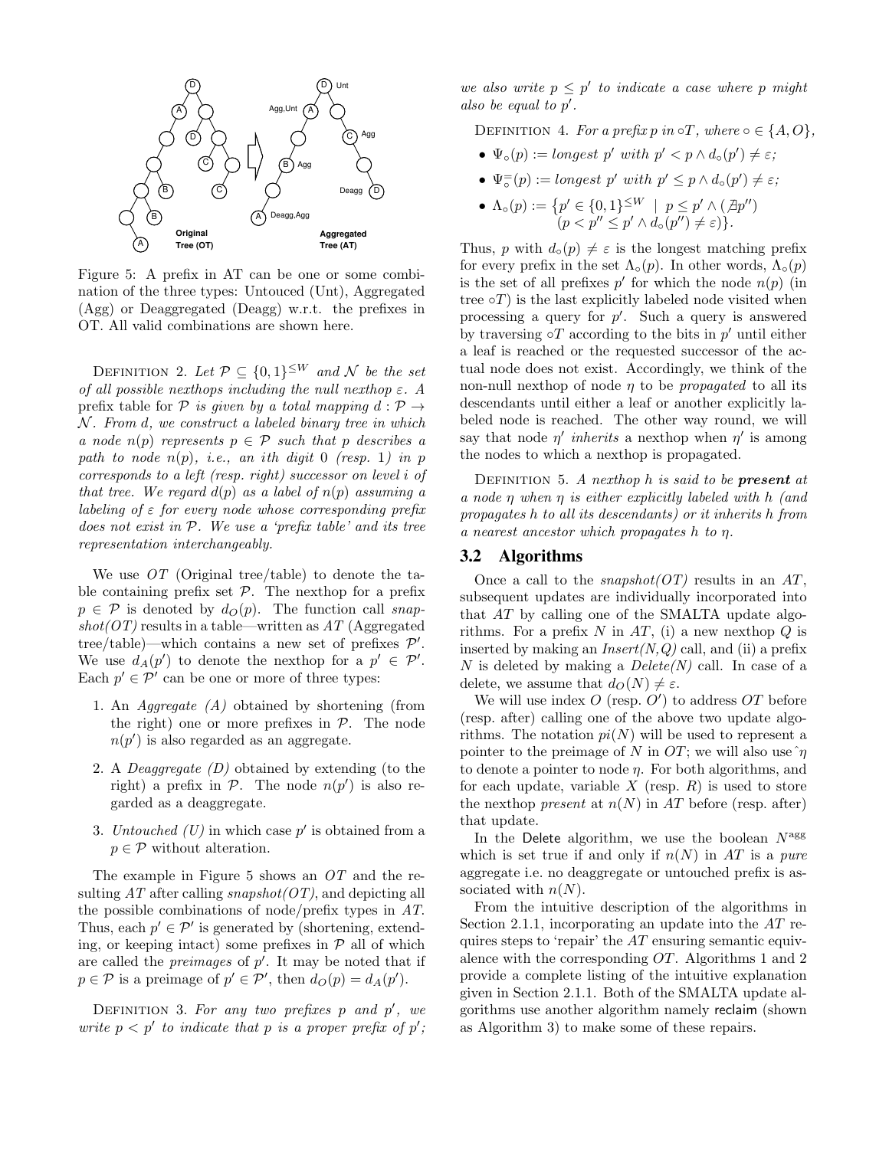

Figure 5: A prefix in AT can be one or some combination of the three types: Untouced (Unt), Aggregated (Agg) or Deaggregated (Deagg) w.r.t. the prefixes in OT. All valid combinations are shown here.

DEFINITION 2. Let  $\mathcal{P} \subseteq \{0,1\}^{\leq W}$  and  $\mathcal{N}$  be the set of all possible nexthops including the null nexthop  $\varepsilon$ . A prefix table for P is given by a total mapping  $d : \mathcal{P} \rightarrow$  $N$ . From  $d$ , we construct a labeled binary tree in which a node  $n(p)$  represents  $p \in \mathcal{P}$  such that p describes a path to node  $n(p)$ , i.e., an ith digit 0 (resp. 1) in p corresponds to a left (resp. right) successor on level i of that tree. We regard  $d(p)$  as a label of  $n(p)$  assuming a labeling of  $\varepsilon$  for every node whose corresponding prefix does not exist in P. We use a 'prefix table' and its tree representation interchangeably.

We use OT (Original tree/table) to denote the table containing prefix set  $P$ . The nexthop for a prefix  $p \in \mathcal{P}$  is denoted by  $d_O(p)$ . The function call snap $shot(OT)$  results in a table—written as  $AT$  (Aggregated tree/table)—which contains a new set of prefixes  $\mathcal{P}'$ . We use  $d_A(p')$  to denote the nexthop for a  $p' \in \mathcal{P}'$ . Each  $p' \in \mathcal{P}'$  can be one or more of three types:

- 1. An Aggregate (A) obtained by shortening (from the right) one or more prefixes in  $P$ . The node  $n(p')$  is also regarded as an aggregate.
- 2. A Deaggregate (D) obtained by extending (to the right) a prefix in  $P$ . The node  $n(p')$  is also regarded as a deaggregate.
- 3. Untouched  $(U)$  in which case  $p'$  is obtained from a  $p \in \mathcal{P}$  without alteration.

The example in Figure 5 shows an OT and the resulting  $AT$  after calling snapshot $(OT)$ , and depicting all the possible combinations of node/prefix types in AT. Thus, each  $p' \in \mathcal{P}'$  is generated by (shortening, extending, or keeping intact) some prefixes in  $P$  all of which are called the *preimages* of  $p'$ . It may be noted that if  $p \in \mathcal{P}$  is a preimage of  $p' \in \mathcal{P}'$ , then  $d_O(p) = d_A(p')$ .

DEFINITION 3. For any two prefixes  $p$  and  $p'$ , we write  $p < p'$  to indicate that p is a proper prefix of p'; we also write  $p \leq p'$  to indicate a case where p might also be equal to  $p'$ .

DEFINITION 4. For a prefix p in  $\circ T$ , where  $\circ \in \{A, O\}$ ,

- $\Psi_{\circ}(p) := \text{longest } p' \text{ with } p' < p \land d_{\circ}(p') \neq \varepsilon;$
- $\Psi_{\circ}^{-}(p) := \text{longest } p' \text{ with } p' \leq p \wedge d_{\circ}(p') \neq \varepsilon;$
- $\Lambda_{\circ}(p) := \{p' \in \{0,1\}^{\leq W} \mid p \leq p' \wedge (\nexists p'')\}$  $(p < p'' \le p' \wedge d_{\circ}(p'') \neq \varepsilon)\}.$

Thus, p with  $d_0(p) \neq \varepsilon$  is the longest matching prefix for every prefix in the set  $\Lambda_{\circ}(p)$ . In other words,  $\Lambda_{\circ}(p)$ is the set of all prefixes  $p'$  for which the node  $n(p)$  (in tree  $\circ T$ ) is the last explicitly labeled node visited when processing a query for  $p'$ . Such a query is answered by traversing  $\circ T$  according to the bits in  $p'$  until either a leaf is reached or the requested successor of the actual node does not exist. Accordingly, we think of the non-null nexthop of node  $\eta$  to be propagated to all its descendants until either a leaf or another explicitly labeled node is reached. The other way round, we will say that node  $\eta'$  inherits a nexthop when  $\eta'$  is among the nodes to which a nexthop is propagated.

DEFINITION 5. A nexthop  $h$  is said to be **present** at a node η when η is either explicitly labeled with h (and propagates h to all its descendants) or it inherits h from a nearest ancestor which propagates h to η.

#### **3.2 Algorithms**

Once a call to the *snapshot*( $OT$ ) results in an  $AT$ , subsequent updates are individually incorporated into that AT by calling one of the SMALTA update algorithms. For a prefix N in AT, (i) a new nexthop  $Q$  is inserted by making an  $Insert(N,Q)$  call, and (ii) a prefix N is deleted by making a  $Delete(N)$  call. In case of a delete, we assume that  $d_O(N) \neq \varepsilon$ .

We will use index  $O$  (resp.  $O'$ ) to address  $OT$  before (resp. after) calling one of the above two update algorithms. The notation  $pi(N)$  will be used to represent a pointer to the preimage of N in OT; we will also use  $\hat{\eta}$ to denote a pointer to node  $\eta$ . For both algorithms, and for each update, variable  $X$  (resp.  $R$ ) is used to store the nexthop *present* at  $n(N)$  in AT before (resp. after) that update.

In the Delete algorithm, we use the boolean  $N<sup>agg</sup>$ which is set true if and only if  $n(N)$  in AT is a pure aggregate i.e. no deaggregate or untouched prefix is associated with  $n(N)$ .

From the intuitive description of the algorithms in Section 2.1.1, incorporating an update into the AT requires steps to 'repair' the  $AT$  ensuring semantic equivalence with the corresponding OT. Algorithms 1 and 2 provide a complete listing of the intuitive explanation given in Section 2.1.1. Both of the SMALTA update algorithms use another algorithm namely reclaim (shown as Algorithm 3) to make some of these repairs.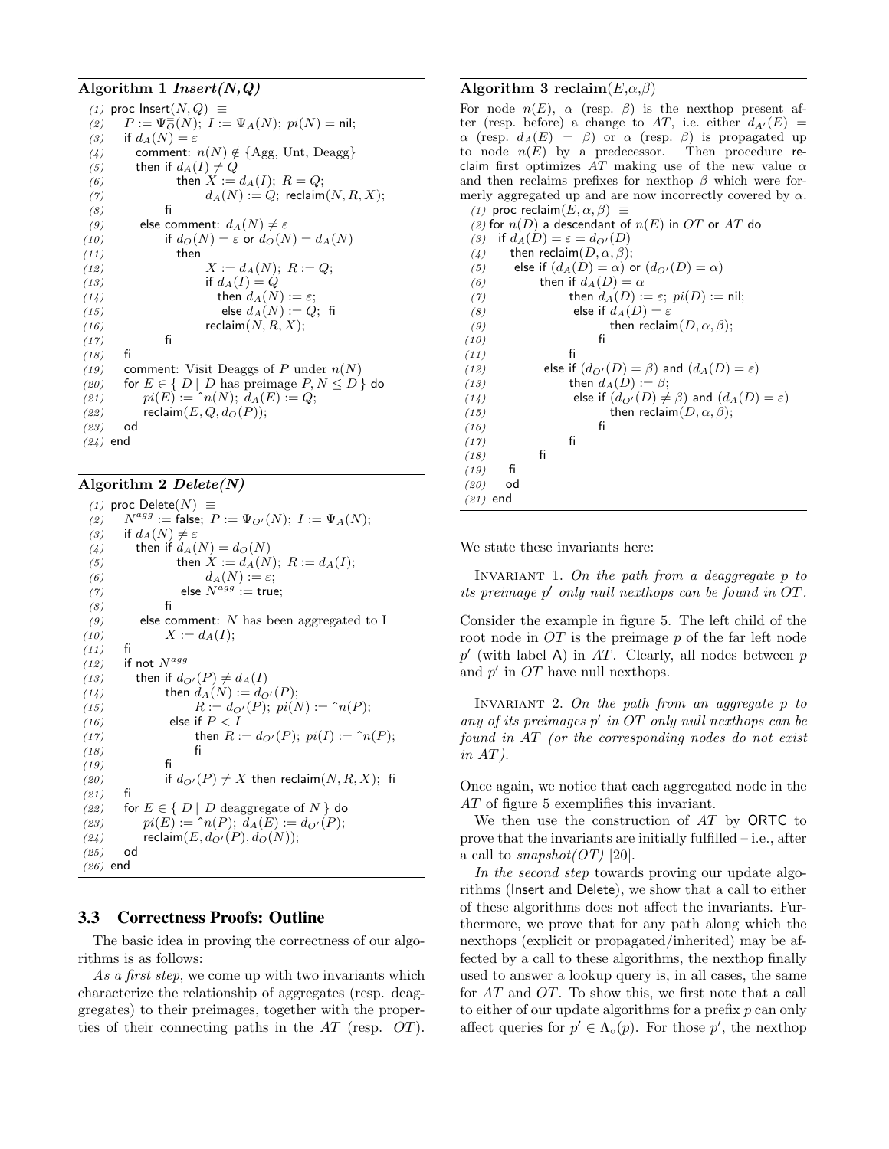#### Algorithm 1  $Insert(N,Q)$

|            | (1) proc lnsert $(N,Q) \equiv$                                    |
|------------|-------------------------------------------------------------------|
| (2)        | $P := \Psi_{O}^{-}(N); I := \Psi_{A}(N); pi(N) = \text{nil};$     |
| (3)        | if $d_A(N) = \varepsilon$                                         |
| (4)        | comment: $n(N) \notin \{ \text{Agg}, \text{Unt}, \text{Deagg} \}$ |
| (5)        | then if $d_A(I) \neq Q$                                           |
| (6)        | then $X := d_A(I); R = Q;$                                        |
| (7)        | $d_A(N) := Q$ ; reclaim $(N, R, X)$ ;                             |
| (8)        | fi                                                                |
| (9)        | else comment: $d_A(N) \neq \varepsilon$                           |
| (10)       | if $d_O(N) = \varepsilon$ or $d_O(N) = d_A(N)$                    |
| (11)       | then                                                              |
| (12)       | $X := d_A(N); R := Q;$                                            |
| (13)       | if $d_A(I) = Q$                                                   |
| (14)       | then $d_A(N) := \varepsilon$ ;                                    |
| (15)       | else $d_A(N) := Q$ ; fi                                           |
| (16)       | reclaim $(N, R, X);$                                              |
| (17)       | fi                                                                |
| (18)       | fi                                                                |
| (19)       | comment: Visit Deaggs of P under $n(N)$                           |
| (20)       | for $E \in \{ D \mid D$ has preimage $P, N \leq D \}$ do          |
| (21)       | $pi(E) := \hat{h}(N); d_A(E) := Q;$                               |
| (22)       | reclaim $(E,Q,dO(P));$                                            |
| (23)       | od                                                                |
| $(24)$ end |                                                                   |

#### Algorithm 2  $Delete(N)$

(1) proc Delete $(N) \equiv$  $(2)$  $N^{agg} := \mathsf{false};\ P := \Psi_{O'}(N);\ I := \Psi_A(N);$ (3) if  $d_A(N) \neq \varepsilon$ (4) then if  $d_A(N) = d_O(N)$ (5) then  $X := d_A(N); R := d_A(I);$ (6)  $d_A(N) := \varepsilon;$ (7) else  $N^{agg} := \text{true};$ (8) fi (9) else comment: N has been aggregated to I (10)  $X := d_A(I);$ <br>(11)  $f_i$  $(11)$  $(12)$  if not  $N^{agg}$ (13) then if  $d_{O'}(P) \neq d_A(I)$ (14) then  $d_A(N) := d_{O'}(P)$ ; (15)  $R := d_{O'}(P); \ p_i(N) := \hat{h}(P);$ (16) else if  $P < I$ (17) then  $R := d_{O'}(P)$ ;  $pi(I) := \hat{h}(P)$ ;<br>(18) fi  $(18)$  $(19)$  fi (20) if  $d_{O'}(P) \neq X$  then reclaim $(N, R, X)$ ; fi  $(21)$ (22) for  $E \in \{ D \mid D \text{ deaggregate of } N \}$  do (23)  $pi(E) := \hat{h}(P); d_A(E) := d_{O'}(P);$ (24) reclaim $(E, d_{O'}(P), d_{O}(N));$ <br>(25) od  $(25)$ (26) end

# **3.3 Correctness Proofs: Outline**

The basic idea in proving the correctness of our algorithms is as follows:

As a first step, we come up with two invariants which characterize the relationship of aggregates (resp. deaggregates) to their preimages, together with the properties of their connecting paths in the AT (resp. OT).

#### Algorithm 3 reclaim $(E, \alpha, \beta)$

For node  $n(E)$ ,  $\alpha$  (resp.  $\beta$ ) is the nexthop present after (resp. before) a change to AT, i.e. either  $d_{A'}(E)$  =  $\alpha$  (resp.  $d_A(E) = \beta$ ) or  $\alpha$  (resp.  $\beta$ ) is propagated up to node  $n(E)$  by a predecessor. Then procedure reclaim first optimizes  $AT$  making use of the new value  $\alpha$ and then reclaims prefixes for nexthop  $\beta$  which were formerly aggregated up and are now incorrectly covered by  $\alpha$ . (1) proc reclaim $(E, \alpha, \beta) \equiv$ (2) for  $n(D)$  a descendant of  $n(E)$  in  $OT$  or  $AT$  do (3) if  $d_A(D) = \varepsilon = d_{O'}(D)$ (4) then reclaim $(D, \alpha, \beta);$ (5) else if  $(d_A(D) = \alpha)$  or  $(d_{O'}(D) = \alpha)$ (6) then if  $d_A(D) = \alpha$ (7) then  $d_A(D) := \varepsilon$ ;  $pi(D) := \text{nil}$ ; (8) else if  $d_A(D) = \varepsilon$ (9) then reclaim $(D, \alpha, \beta);$ <br>fi  $(10)$  $(11)$  fi (12) else if  $(d_{O'}(D) = \beta)$  and  $(d_A(D) = \varepsilon)$ (13) then  $d_A(D) := \beta;$ (14) else if  $(d_{Q'}(D) \neq \beta)$  and  $(d_A(D) = \varepsilon)$ (15) then reclaim $(D, \alpha, \beta)$ ;<br>(16) fi  $(16)$  $\begin{array}{cc}\n(17) & \text{fi} \\
(18) & \text{fi}\n\end{array}$  $(18)$  $(19)$  fi (20) od (21) end

We state these invariants here:

INVARIANT 1. On the path from a deaggregate  $p$  to its preimage p ′ only null nexthops can be found in OT.

Consider the example in figure 5. The left child of the root node in  $OT$  is the preimage  $p$  of the far left node  $p'$  (with label A) in AT. Clearly, all nodes between  $p$ and  $p'$  in  $OT$  have null nexthops.

INVARIANT 2. On the path from an aggregate p to any of its preimages  $p'$  in OT only null nexthops can be found in AT (or the corresponding nodes do not exist  $in AT$ ).

Once again, we notice that each aggregated node in the AT of figure 5 exemplifies this invariant.

We then use the construction of  $AT$  by ORTC to prove that the invariants are initially fulfilled – i.e., after a call to snapshot $(OT)$  [20].

In the second step towards proving our update algorithms (Insert and Delete), we show that a call to either of these algorithms does not affect the invariants. Furthermore, we prove that for any path along which the nexthops (explicit or propagated/inherited) may be affected by a call to these algorithms, the nexthop finally used to answer a lookup query is, in all cases, the same for AT and OT. To show this, we first note that a call to either of our update algorithms for a prefix p can only affect queries for  $p' \in \Lambda_o(p)$ . For those p', the nexthop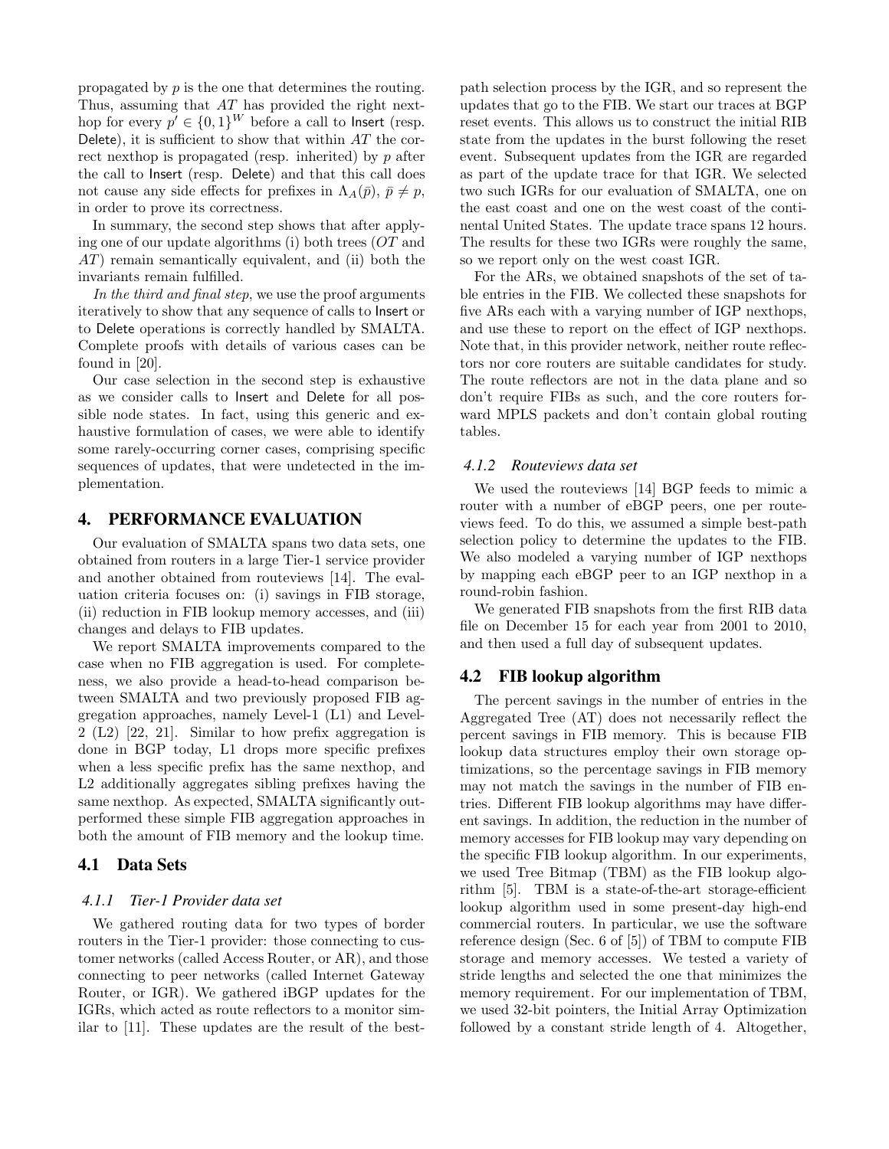propagated by p is the one that determines the routing. Thus, assuming that AT has provided the right nexthop for every  $p' \in \{0,1\}^W$  before a call to lnsert (resp. Delete), it is sufficient to show that within  $AT$  the correct nexthop is propagated (resp. inherited) by  $p$  after the call to Insert (resp. Delete) and that this call does not cause any side effects for prefixes in  $\Lambda_A(\bar{p}), \bar{p} \neq p$ , in order to prove its correctness.

In summary, the second step shows that after applying one of our update algorithms (i) both trees (OT and AT) remain semantically equivalent, and (ii) both the invariants remain fulfilled.

In the third and final step, we use the proof arguments iteratively to show that any sequence of calls to Insert or to Delete operations is correctly handled by SMALTA. Complete proofs with details of various cases can be found in [20].

Our case selection in the second step is exhaustive as we consider calls to Insert and Delete for all possible node states. In fact, using this generic and exhaustive formulation of cases, we were able to identify some rarely-occurring corner cases, comprising specific sequences of updates, that were undetected in the implementation.

### **4. PERFORMANCE EVALUATION**

Our evaluation of SMALTA spans two data sets, one obtained from routers in a large Tier-1 service provider and another obtained from routeviews [14]. The evaluation criteria focuses on: (i) savings in FIB storage, (ii) reduction in FIB lookup memory accesses, and (iii) changes and delays to FIB updates.

We report SMALTA improvements compared to the case when no FIB aggregation is used. For completeness, we also provide a head-to-head comparison between SMALTA and two previously proposed FIB aggregation approaches, namely Level-1 (L1) and Level-2 (L2) [22, 21]. Similar to how prefix aggregation is done in BGP today, L1 drops more specific prefixes when a less specific prefix has the same nexthop, and L2 additionally aggregates sibling prefixes having the same nexthop. As expected, SMALTA significantly outperformed these simple FIB aggregation approaches in both the amount of FIB memory and the lookup time.

#### **4.1 Data Sets**

#### *4.1.1 Tier-1 Provider data set*

We gathered routing data for two types of border routers in the Tier-1 provider: those connecting to customer networks (called Access Router, or AR), and those connecting to peer networks (called Internet Gateway Router, or IGR). We gathered iBGP updates for the IGRs, which acted as route reflectors to a monitor similar to [11]. These updates are the result of the bestpath selection process by the IGR, and so represent the updates that go to the FIB. We start our traces at BGP reset events. This allows us to construct the initial RIB state from the updates in the burst following the reset event. Subsequent updates from the IGR are regarded as part of the update trace for that IGR. We selected two such IGRs for our evaluation of SMALTA, one on the east coast and one on the west coast of the continental United States. The update trace spans 12 hours. The results for these two IGRs were roughly the same, so we report only on the west coast IGR.

For the ARs, we obtained snapshots of the set of table entries in the FIB. We collected these snapshots for five ARs each with a varying number of IGP nexthops, and use these to report on the effect of IGP nexthops. Note that, in this provider network, neither route reflectors nor core routers are suitable candidates for study. The route reflectors are not in the data plane and so don't require FIBs as such, and the core routers forward MPLS packets and don't contain global routing tables.

#### *4.1.2 Routeviews data set*

We used the routeviews [14] BGP feeds to mimic a router with a number of eBGP peers, one per routeviews feed. To do this, we assumed a simple best-path selection policy to determine the updates to the FIB. We also modeled a varying number of IGP nexthops by mapping each eBGP peer to an IGP nexthop in a round-robin fashion.

We generated FIB snapshots from the first RIB data file on December 15 for each year from 2001 to 2010, and then used a full day of subsequent updates.

#### **4.2 FIB lookup algorithm**

The percent savings in the number of entries in the Aggregated Tree (AT) does not necessarily reflect the percent savings in FIB memory. This is because FIB lookup data structures employ their own storage optimizations, so the percentage savings in FIB memory may not match the savings in the number of FIB entries. Different FIB lookup algorithms may have different savings. In addition, the reduction in the number of memory accesses for FIB lookup may vary depending on the specific FIB lookup algorithm. In our experiments, we used Tree Bitmap (TBM) as the FIB lookup algorithm [5]. TBM is a state-of-the-art storage-efficient lookup algorithm used in some present-day high-end commercial routers. In particular, we use the software reference design (Sec. 6 of [5]) of TBM to compute FIB storage and memory accesses. We tested a variety of stride lengths and selected the one that minimizes the memory requirement. For our implementation of TBM, we used 32-bit pointers, the Initial Array Optimization followed by a constant stride length of 4. Altogether,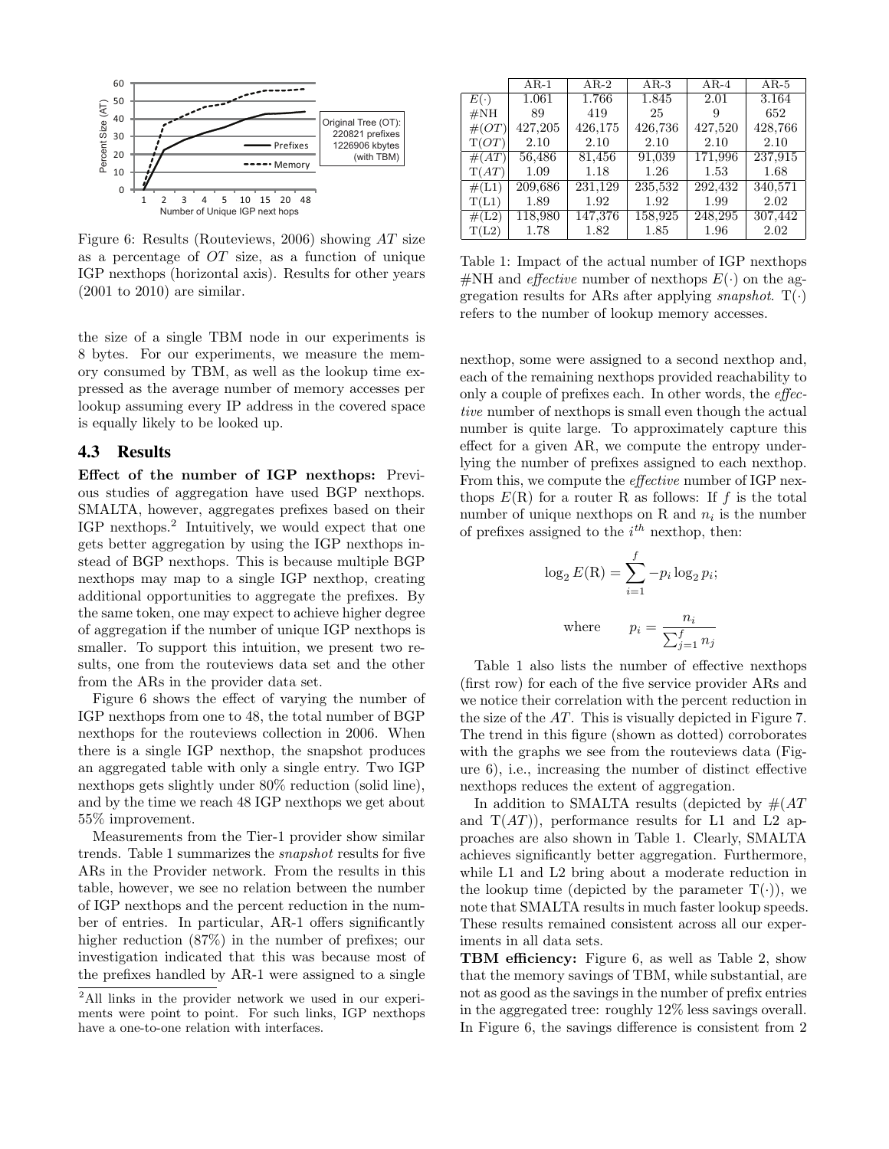

Figure 6: Results (Routeviews, 2006) showing AT size as a percentage of  $OT$  size, as a function of unique IGP nexthops (horizontal axis). Results for other years (2001 to 2010) are similar.

the size of a single TBM node in our experiments is 8 bytes. For our experiments, we measure the memory consumed by TBM, as well as the lookup time expressed as the average number of memory accesses per lookup assuming every IP address in the covered space is equally likely to be looked up.

## **4.3 Results**

Effect of the number of IGP nexthops: Previous studies of aggregation have used BGP nexthops. SMALTA, however, aggregates prefixes based on their IGP nexthops.<sup>2</sup> Intuitively, we would expect that one gets better aggregation by using the IGP nexthops instead of BGP nexthops. This is because multiple BGP nexthops may map to a single IGP nexthop, creating additional opportunities to aggregate the prefixes. By the same token, one may expect to achieve higher degree of aggregation if the number of unique IGP nexthops is smaller. To support this intuition, we present two results, one from the routeviews data set and the other from the ARs in the provider data set.

Figure 6 shows the effect of varying the number of IGP nexthops from one to 48, the total number of BGP nexthops for the routeviews collection in 2006. When there is a single IGP nexthop, the snapshot produces an aggregated table with only a single entry. Two IGP nexthops gets slightly under 80% reduction (solid line), and by the time we reach 48 IGP nexthops we get about 55% improvement.

Measurements from the Tier-1 provider show similar trends. Table 1 summarizes the snapshot results for five ARs in the Provider network. From the results in this table, however, we see no relation between the number of IGP nexthops and the percent reduction in the number of entries. In particular, AR-1 offers significantly higher reduction (87%) in the number of prefixes; our investigation indicated that this was because most of the prefixes handled by AR-1 were assigned to a single

|                 | $AR-1$  | $AR-2$  | $AR-3$  | $AR-4$  | $AR-5$  |
|-----------------|---------|---------|---------|---------|---------|
| $E(\cdot)$      | 1.061   | 1.766   | 1.845   | 2.01    | 3.164   |
| $\#\mathrm{NH}$ | 89      | 419     | 25      | 9       | 652     |
| $\#(OT)$        | 427,205 | 426,175 | 426,736 | 427,520 | 428,766 |
| T(OT)           | 2.10    | 2.10    | 2.10    | 2.10    | 2.10    |
| #(AT)           | 56,486  | 81,456  | 91,039  | 171,996 | 237,915 |
| T(AT)           | 1.09    | 1.18    | 1.26    | 1.53    | 1.68    |
| $\#(L1)$        | 209,686 | 231,129 | 235,532 | 292,432 | 340,571 |
| T(L1)           | 1.89    | 1.92    | 1.92    | 1.99    | 2.02    |
| $\#(L2)$        | 118,980 | 147,376 | 158,925 | 248,295 | 307,442 |
| T(L2)           | 1.78    | 1.82    | 1.85    | 1.96    | 2.02    |
|                 |         |         |         |         |         |

Table 1: Impact of the actual number of IGP nexthops #NH and *effective* number of nexthops  $E(\cdot)$  on the aggregation results for ARs after applying *snapshot*.  $T(\cdot)$ refers to the number of lookup memory accesses.

nexthop, some were assigned to a second nexthop and, each of the remaining nexthops provided reachability to only a couple of prefixes each. In other words, the effective number of nexthops is small even though the actual number is quite large. To approximately capture this effect for a given AR, we compute the entropy underlying the number of prefixes assigned to each nexthop. From this, we compute the effective number of IGP nexthops  $E(R)$  for a router R as follows: If f is the total number of unique nexthops on R and  $n_i$  is the number of prefixes assigned to the  $i^{th}$  nexthop, then:

$$
\log_2 E(R) = \sum_{i=1}^f -p_i \log_2 p_i;
$$
  
where 
$$
p_i = \frac{n_i}{\sum_{j=1}^f n_j}
$$

Table 1 also lists the number of effective nexthops (first row) for each of the five service provider ARs and we notice their correlation with the percent reduction in the size of the AT. This is visually depicted in Figure 7. The trend in this figure (shown as dotted) corroborates with the graphs we see from the routeviews data (Figure 6), i.e., increasing the number of distinct effective nexthops reduces the extent of aggregation.

In addition to SMALTA results (depicted by  $\#(AT)$ and  $T(AT)$ , performance results for L1 and L2 approaches are also shown in Table 1. Clearly, SMALTA achieves significantly better aggregation. Furthermore, while L1 and L2 bring about a moderate reduction in the lookup time (depicted by the parameter  $T(\cdot)$ ), we note that SMALTA results in much faster lookup speeds. These results remained consistent across all our experiments in all data sets.

TBM efficiency: Figure 6, as well as Table 2, show that the memory savings of TBM, while substantial, are not as good as the savings in the number of prefix entries in the aggregated tree: roughly 12% less savings overall. In Figure 6, the savings difference is consistent from 2

<sup>&</sup>lt;sup>2</sup>All links in the provider network we used in our experiments were point to point. For such links, IGP nexthops have a one-to-one relation with interfaces.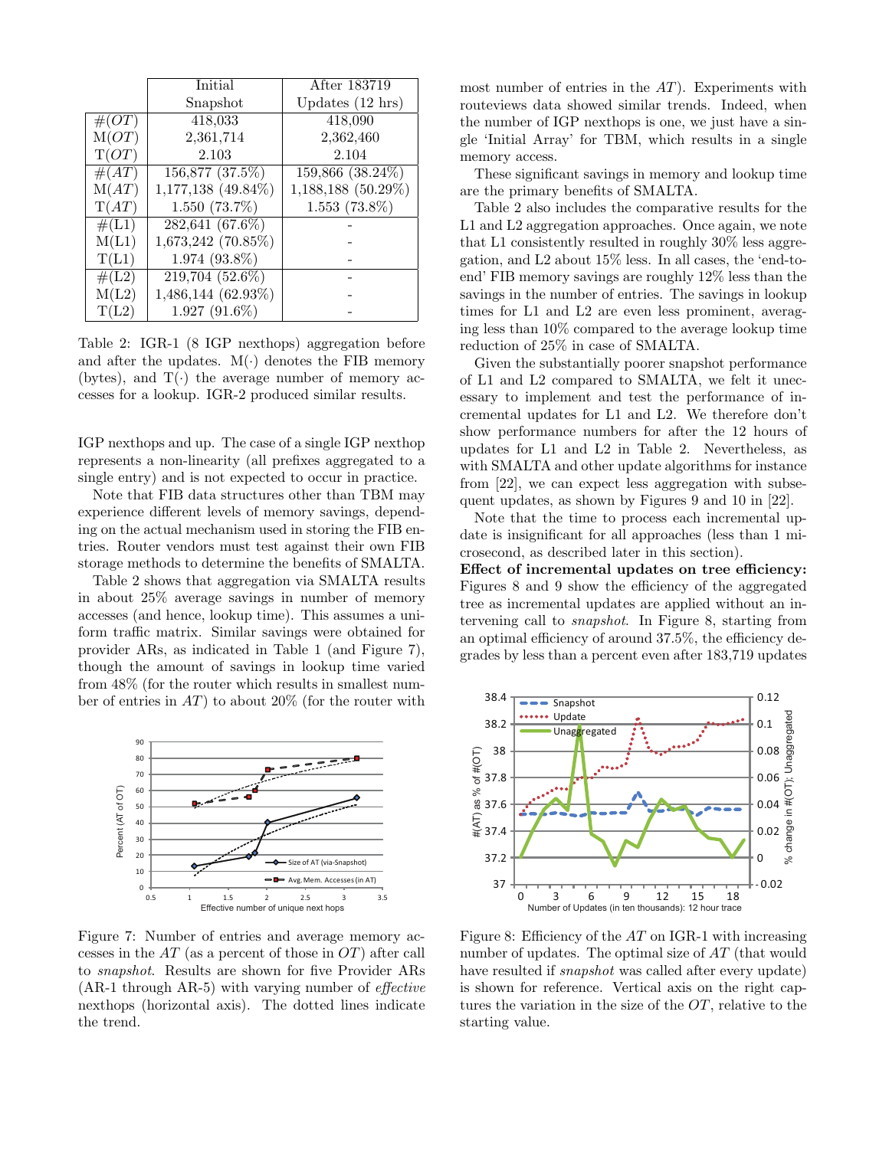|          | Initial            | After 183719               |
|----------|--------------------|----------------------------|
|          | Snapshot           | Updates $(12 \text{ hrs})$ |
| $\#(OT)$ | 418,033            | 418,090                    |
| M(OT)    | 2,361,714          | 2,362,460                  |
| T(OT)    | 2.103              | 2.104                      |
| #(AT)    | 156,877 (37.5%)    | 159,866 (38.24%)           |
| M(AT)    | 1,177,138 (49.84%) | 1,188,188 (50.29%)         |
| T(AT)    | $1.550(73.7\%)$    | $1.553(73.8\%)$            |
| #(L1)    | 282,641 (67.6%)    |                            |
| M(L1)    | 1,673,242 (70.85%) |                            |
| T(L1)    | $1.974(93.8\%)$    |                            |
| $\#(L2)$ | $219,704(52.6\%)$  |                            |
| M(L2)    | 1,486,144 (62.93%) |                            |
| T(L2)    | $1.927(91.6\%)$    |                            |

Table 2: IGR-1 (8 IGP nexthops) aggregation before and after the updates.  $M(\cdot)$  denotes the FIB memory (bytes), and  $T(\cdot)$  the average number of memory accesses for a lookup. IGR-2 produced similar results.

IGP nexthops and up. The case of a single IGP nexthop represents a non-linearity (all prefixes aggregated to a single entry) and is not expected to occur in practice.

Note that FIB data structures other than TBM may experience different levels of memory savings, depending on the actual mechanism used in storing the FIB entries. Router vendors must test against their own FIB storage methods to determine the benefits of SMALTA.

Table 2 shows that aggregation via SMALTA results in about 25% average savings in number of memory accesses (and hence, lookup time). This assumes a uniform traffic matrix. Similar savings were obtained for provider ARs, as indicated in Table 1 (and Figure 7), though the amount of savings in lookup time varied from 48% (for the router which results in smallest number of entries in  $AT$ ) to about 20% (for the router with



Figure 7: Number of entries and average memory accesses in the  $AT$  (as a percent of those in  $OT$ ) after call to snapshot. Results are shown for five Provider ARs (AR-1 through AR-5) with varying number of effective nexthops (horizontal axis). The dotted lines indicate the trend.

most number of entries in the  $AT$ ). Experiments with routeviews data showed similar trends. Indeed, when the number of IGP nexthops is one, we just have a single 'Initial Array' for TBM, which results in a single memory access.

These significant savings in memory and lookup time are the primary benefits of SMALTA.

Table 2 also includes the comparative results for the L1 and L2 aggregation approaches. Once again, we note that L1 consistently resulted in roughly 30% less aggregation, and L2 about 15% less. In all cases, the 'end-toend' FIB memory savings are roughly 12% less than the savings in the number of entries. The savings in lookup times for L1 and L2 are even less prominent, averaging less than 10% compared to the average lookup time reduction of 25% in case of SMALTA.

Given the substantially poorer snapshot performance of L1 and L2 compared to SMALTA, we felt it unecessary to implement and test the performance of incremental updates for L1 and L2. We therefore don't show performance numbers for after the 12 hours of updates for L1 and L2 in Table 2. Nevertheless, as with SMALTA and other update algorithms for instance from [22], we can expect less aggregation with subsequent updates, as shown by Figures 9 and 10 in [22].

Note that the time to process each incremental update is insignificant for all approaches (less than 1 microsecond, as described later in this section).

Effect of incremental updates on tree efficiency: Figures 8 and 9 show the efficiency of the aggregated tree as incremental updates are applied without an intervening call to snapshot. In Figure 8, starting from an optimal efficiency of around 37.5%, the efficiency degrades by less than a percent even after 183,719 updates



Figure 8: Efficiency of the AT on IGR-1 with increasing number of updates. The optimal size of AT (that would have resulted if *snapshot* was called after every update) is shown for reference. Vertical axis on the right captures the variation in the size of the OT, relative to the starting value.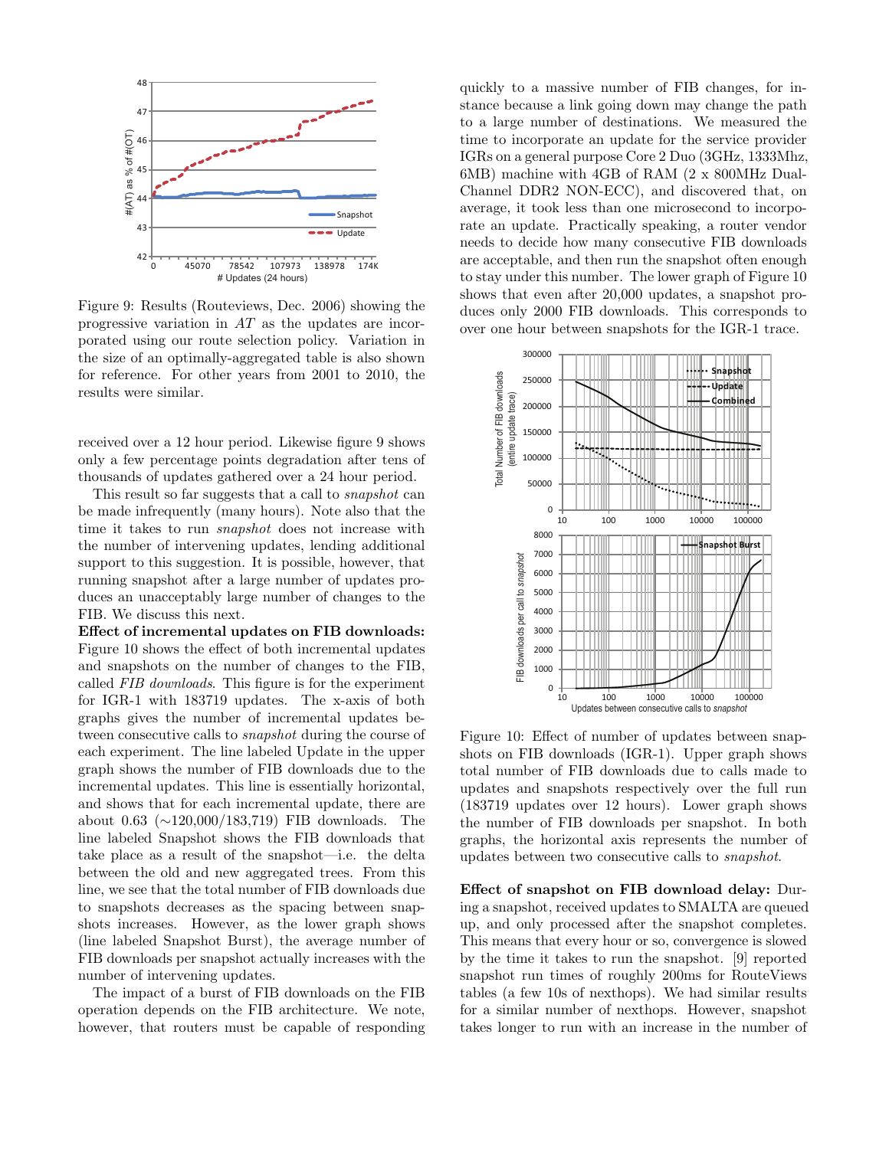

Figure 9: Results (Routeviews, Dec. 2006) showing the progressive variation in AT as the updates are incorporated using our route selection policy. Variation in the size of an optimally-aggregated table is also shown for reference. For other years from 2001 to 2010, the results were similar.

received over a 12 hour period. Likewise figure 9 shows only a few percentage points degradation after tens of thousands of updates gathered over a 24 hour period.

This result so far suggests that a call to snapshot can be made infrequently (many hours). Note also that the time it takes to run snapshot does not increase with the number of intervening updates, lending additional support to this suggestion. It is possible, however, that running snapshot after a large number of updates produces an unacceptably large number of changes to the FIB. We discuss this next.

Effect of incremental updates on FIB downloads: Figure 10 shows the effect of both incremental updates and snapshots on the number of changes to the FIB, called FIB downloads. This figure is for the experiment for IGR-1 with 183719 updates. The x-axis of both graphs gives the number of incremental updates between consecutive calls to snapshot during the course of each experiment. The line labeled Update in the upper graph shows the number of FIB downloads due to the incremental updates. This line is essentially horizontal, and shows that for each incremental update, there are about 0.63 (∼120,000/183,719) FIB downloads. The line labeled Snapshot shows the FIB downloads that take place as a result of the snapshot—i.e. the delta between the old and new aggregated trees. From this line, we see that the total number of FIB downloads due to snapshots decreases as the spacing between snapshots increases. However, as the lower graph shows (line labeled Snapshot Burst), the average number of FIB downloads per snapshot actually increases with the number of intervening updates.

The impact of a burst of FIB downloads on the FIB operation depends on the FIB architecture. We note, however, that routers must be capable of responding quickly to a massive number of FIB changes, for instance because a link going down may change the path to a large number of destinations. We measured the time to incorporate an update for the service provider IGRs on a general purpose Core 2 Duo (3GHz, 1333Mhz, 6MB) machine with 4GB of RAM (2 x 800MHz Dual-Channel DDR2 NON-ECC), and discovered that, on average, it took less than one microsecond to incorporate an update. Practically speaking, a router vendor needs to decide how many consecutive FIB downloads are acceptable, and then run the snapshot often enough to stay under this number. The lower graph of Figure 10 shows that even after 20,000 updates, a snapshot produces only 2000 FIB downloads. This corresponds to over one hour between snapshots for the IGR-1 trace.



Figure 10: Effect of number of updates between snapshots on FIB downloads (IGR-1). Upper graph shows total number of FIB downloads due to calls made to updates and snapshots respectively over the full run (183719 updates over 12 hours). Lower graph shows the number of FIB downloads per snapshot. In both graphs, the horizontal axis represents the number of updates between two consecutive calls to snapshot.

Effect of snapshot on FIB download delay: During a snapshot, received updates to SMALTA are queued up, and only processed after the snapshot completes. This means that every hour or so, convergence is slowed by the time it takes to run the snapshot. [9] reported snapshot run times of roughly 200ms for RouteViews tables (a few 10s of nexthops). We had similar results for a similar number of nexthops. However, snapshot takes longer to run with an increase in the number of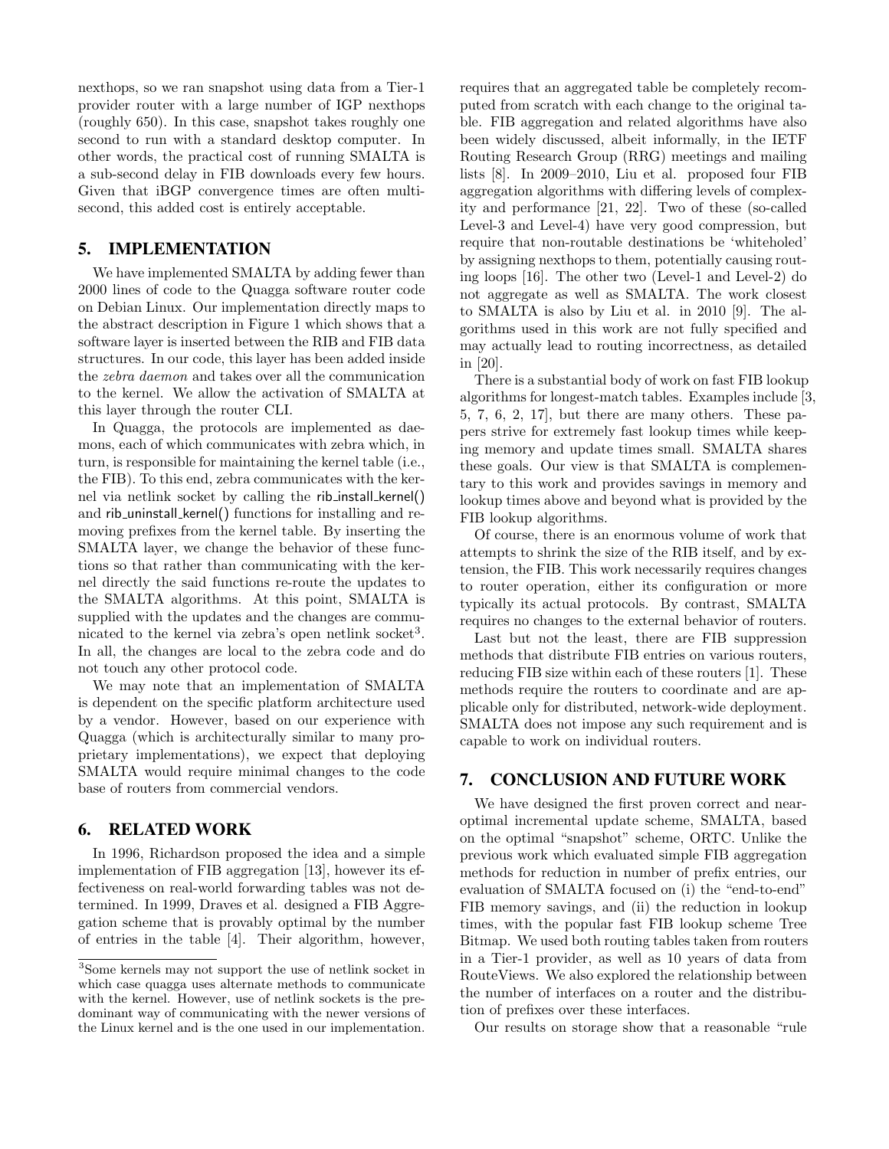nexthops, so we ran snapshot using data from a Tier-1 provider router with a large number of IGP nexthops (roughly 650). In this case, snapshot takes roughly one second to run with a standard desktop computer. In other words, the practical cost of running SMALTA is a sub-second delay in FIB downloads every few hours. Given that iBGP convergence times are often multisecond, this added cost is entirely acceptable.

## **5. IMPLEMENTATION**

We have implemented SMALTA by adding fewer than 2000 lines of code to the Quagga software router code on Debian Linux. Our implementation directly maps to the abstract description in Figure 1 which shows that a software layer is inserted between the RIB and FIB data structures. In our code, this layer has been added inside the zebra daemon and takes over all the communication to the kernel. We allow the activation of SMALTA at this layer through the router CLI.

In Quagga, the protocols are implemented as daemons, each of which communicates with zebra which, in turn, is responsible for maintaining the kernel table (i.e., the FIB). To this end, zebra communicates with the kernel via netlink socket by calling the rib install kernel() and rib uninstall kernel() functions for installing and removing prefixes from the kernel table. By inserting the SMALTA layer, we change the behavior of these functions so that rather than communicating with the kernel directly the said functions re-route the updates to the SMALTA algorithms. At this point, SMALTA is supplied with the updates and the changes are communicated to the kernel via zebra's open netlink socket<sup>3</sup>. In all, the changes are local to the zebra code and do not touch any other protocol code.

We may note that an implementation of SMALTA is dependent on the specific platform architecture used by a vendor. However, based on our experience with Quagga (which is architecturally similar to many proprietary implementations), we expect that deploying SMALTA would require minimal changes to the code base of routers from commercial vendors.

## **6. RELATED WORK**

In 1996, Richardson proposed the idea and a simple implementation of FIB aggregation [13], however its effectiveness on real-world forwarding tables was not determined. In 1999, Draves et al. designed a FIB Aggregation scheme that is provably optimal by the number of entries in the table [4]. Their algorithm, however, requires that an aggregated table be completely recomputed from scratch with each change to the original table. FIB aggregation and related algorithms have also been widely discussed, albeit informally, in the IETF Routing Research Group (RRG) meetings and mailing lists [8]. In 2009–2010, Liu et al. proposed four FIB aggregation algorithms with differing levels of complexity and performance [21, 22]. Two of these (so-called Level-3 and Level-4) have very good compression, but require that non-routable destinations be 'whiteholed' by assigning nexthops to them, potentially causing routing loops [16]. The other two (Level-1 and Level-2) do not aggregate as well as SMALTA. The work closest to SMALTA is also by Liu et al. in 2010 [9]. The algorithms used in this work are not fully specified and may actually lead to routing incorrectness, as detailed in [20].

There is a substantial body of work on fast FIB lookup algorithms for longest-match tables. Examples include [3, 5, 7, 6, 2, 17], but there are many others. These papers strive for extremely fast lookup times while keeping memory and update times small. SMALTA shares these goals. Our view is that SMALTA is complementary to this work and provides savings in memory and lookup times above and beyond what is provided by the FIB lookup algorithms.

Of course, there is an enormous volume of work that attempts to shrink the size of the RIB itself, and by extension, the FIB. This work necessarily requires changes to router operation, either its configuration or more typically its actual protocols. By contrast, SMALTA requires no changes to the external behavior of routers.

Last but not the least, there are FIB suppression methods that distribute FIB entries on various routers, reducing FIB size within each of these routers [1]. These methods require the routers to coordinate and are applicable only for distributed, network-wide deployment. SMALTA does not impose any such requirement and is capable to work on individual routers.

## **7. CONCLUSION AND FUTURE WORK**

We have designed the first proven correct and nearoptimal incremental update scheme, SMALTA, based on the optimal "snapshot" scheme, ORTC. Unlike the previous work which evaluated simple FIB aggregation methods for reduction in number of prefix entries, our evaluation of SMALTA focused on (i) the "end-to-end" FIB memory savings, and (ii) the reduction in lookup times, with the popular fast FIB lookup scheme Tree Bitmap. We used both routing tables taken from routers in a Tier-1 provider, as well as 10 years of data from RouteViews. We also explored the relationship between the number of interfaces on a router and the distribution of prefixes over these interfaces.

Our results on storage show that a reasonable "rule

<sup>3</sup>Some kernels may not support the use of netlink socket in which case quagga uses alternate methods to communicate with the kernel. However, use of netlink sockets is the predominant way of communicating with the newer versions of the Linux kernel and is the one used in our implementation.